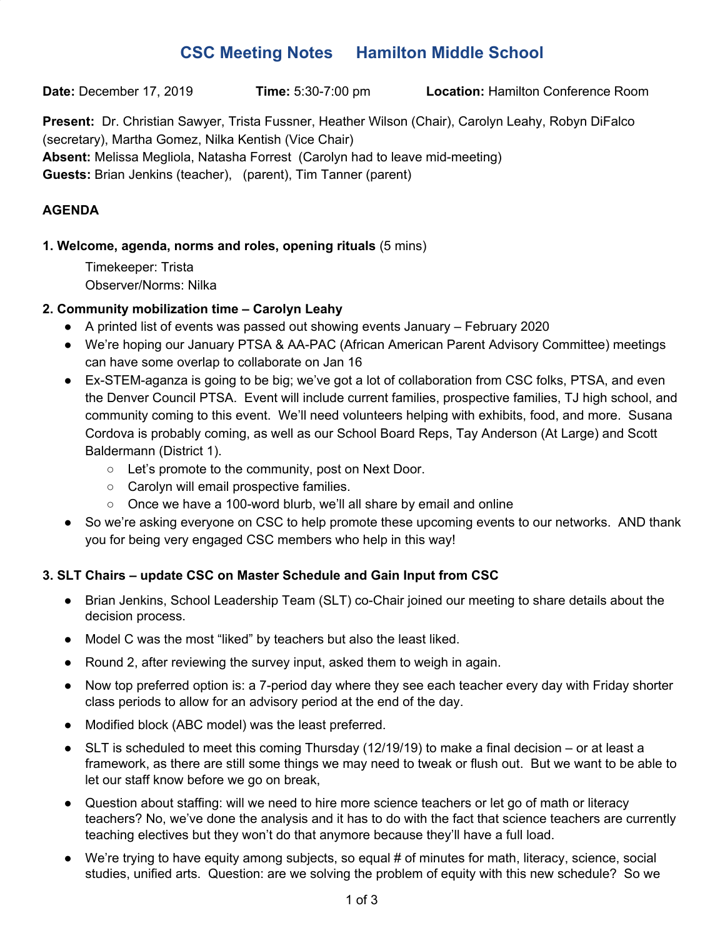# **CSC Meeting Notes Hamilton Middle School**

**Date:** December 17, 2019 **Time:** 5:30-7:00 pm **Location:** Hamilton Conference Room

**Present:** Dr. Christian Sawyer, Trista Fussner, Heather Wilson (Chair), Carolyn Leahy, Robyn DiFalco (secretary), Martha Gomez, Nilka Kentish (Vice Chair) **Absent:** Melissa Megliola, Natasha Forrest (Carolyn had to leave mid-meeting) **Guests:** Brian Jenkins (teacher), (parent), Tim Tanner (parent)

# **AGENDA**

# **1. Welcome, agenda, norms and roles, opening rituals** (5 mins)

Timekeeper: Trista Observer/Norms: Nilka

# **2. Community mobilization time – Carolyn Leahy**

- A printed list of events was passed out showing events January February 2020
- We're hoping our January PTSA & AA-PAC (African American Parent Advisory Committee) meetings can have some overlap to collaborate on Jan 16
- Ex-STEM-aganza is going to be big; we've got a lot of collaboration from CSC folks, PTSA, and even the Denver Council PTSA. Event will include current families, prospective families, TJ high school, and community coming to this event. We'll need volunteers helping with exhibits, food, and more. Susana Cordova is probably coming, as well as our School Board Reps, Tay Anderson (At Large) and Scott Baldermann (District 1).
	- Let's promote to the community, post on Next Door.
	- Carolyn will email prospective families.
	- Once we have a 100-word blurb, we'll all share by email and online
- So we're asking everyone on CSC to help promote these upcoming events to our networks. AND thank you for being very engaged CSC members who help in this way!

# **3. SLT Chairs – update CSC on Master Schedule and Gain Input from CSC**

- Brian Jenkins, School Leadership Team (SLT) co-Chair joined our meeting to share details about the decision process.
- Model C was the most "liked" by teachers but also the least liked.
- Round 2, after reviewing the survey input, asked them to weigh in again.
- Now top preferred option is: a 7-period day where they see each teacher every day with Friday shorter class periods to allow for an advisory period at the end of the day.
- Modified block (ABC model) was the least preferred.
- $\bullet$  SLT is scheduled to meet this coming Thursday (12/19/19) to make a final decision or at least a framework, as there are still some things we may need to tweak or flush out. But we want to be able to let our staff know before we go on break,
- Question about staffing: will we need to hire more science teachers or let go of math or literacy teachers? No, we've done the analysis and it has to do with the fact that science teachers are currently teaching electives but they won't do that anymore because they'll have a full load.
- We're trying to have equity among subjects, so equal # of minutes for math, literacy, science, social studies, unified arts. Question: are we solving the problem of equity with this new schedule? So we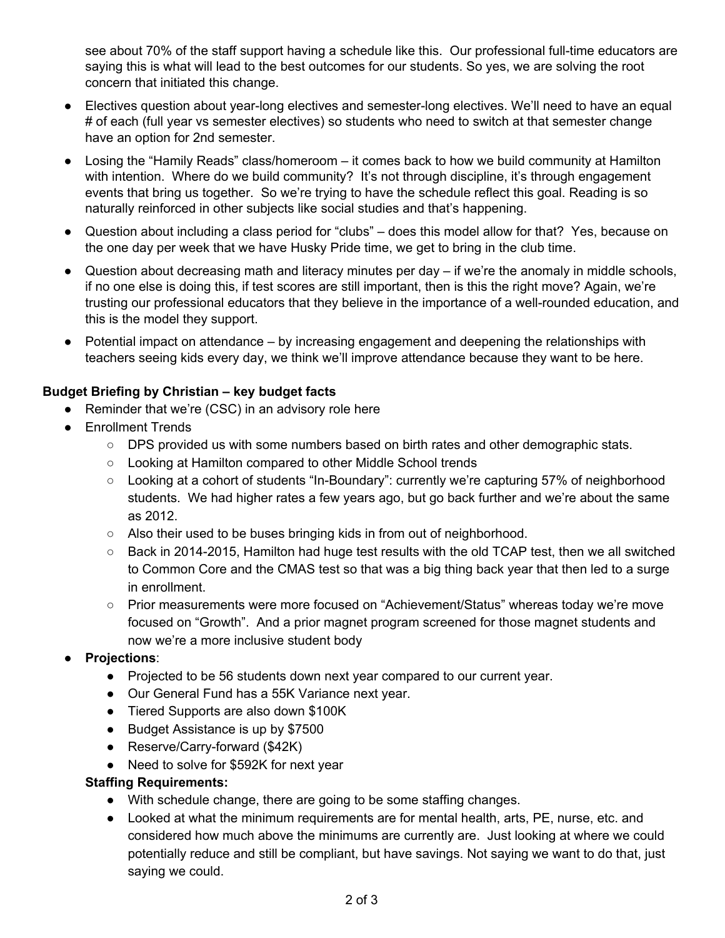see about 70% of the staff support having a schedule like this. Our professional full-time educators are saying this is what will lead to the best outcomes for our students. So yes, we are solving the root concern that initiated this change.

- Electives question about year-long electives and semester-long electives. We'll need to have an equal # of each (full year vs semester electives) so students who need to switch at that semester change have an option for 2nd semester.
- Losing the "Hamily Reads" class/homeroom it comes back to how we build community at Hamilton with intention. Where do we build community? It's not through discipline, it's through engagement events that bring us together. So we're trying to have the schedule reflect this goal. Reading is so naturally reinforced in other subjects like social studies and that's happening.
- Question about including a class period for "clubs" does this model allow for that? Yes, because on the one day per week that we have Husky Pride time, we get to bring in the club time.
- $\bullet$  Question about decreasing math and literacy minutes per day  $-$  if we're the anomaly in middle schools, if no one else is doing this, if test scores are still important, then is this the right move? Again, we're trusting our professional educators that they believe in the importance of a well-rounded education, and this is the model they support.
- Potential impact on attendance by increasing engagement and deepening the relationships with teachers seeing kids every day, we think we'll improve attendance because they want to be here.

# **Budget Briefing by Christian – key budget facts**

- Reminder that we're (CSC) in an advisory role here
- Enrollment Trends
	- $\circ$  DPS provided us with some numbers based on birth rates and other demographic stats.
	- Looking at Hamilton compared to other Middle School trends
	- Looking at a cohort of students "In-Boundary": currently we're capturing 57% of neighborhood students. We had higher rates a few years ago, but go back further and we're about the same as 2012.
	- Also their used to be buses bringing kids in from out of neighborhood.
	- Back in 2014-2015, Hamilton had huge test results with the old TCAP test, then we all switched to Common Core and the CMAS test so that was a big thing back year that then led to a surge in enrollment.
	- Prior measurements were more focused on "Achievement/Status" whereas today we're move focused on "Growth". And a prior magnet program screened for those magnet students and now we're a more inclusive student body
- **Projections**:
	- Projected to be 56 students down next year compared to our current year.
	- Our General Fund has a 55K Variance next year.
	- Tiered Supports are also down \$100K
	- Budget Assistance is up by \$7500
	- Reserve/Carry-forward (\$42K)
	- Need to solve for \$592K for next year

### **Staffing Requirements:**

- With schedule change, there are going to be some staffing changes.
- Looked at what the minimum requirements are for mental health, arts, PE, nurse, etc. and considered how much above the minimums are currently are. Just looking at where we could potentially reduce and still be compliant, but have savings. Not saying we want to do that, just saying we could.